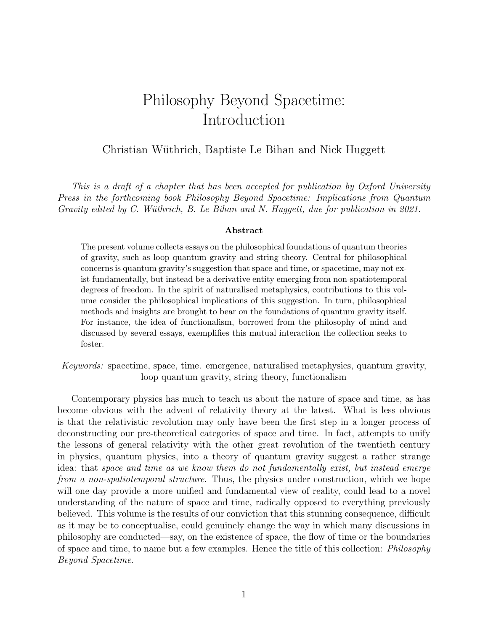# Philosophy Beyond Spacetime: Introduction

#### Christian W¨uthrich, Baptiste Le Bihan and Nick Huggett

This is a draft of a chapter that has been accepted for publication by Oxford University Press in the forthcoming book Philosophy Beyond Spacetime: Implications from Quantum Gravity edited by C. Wüthrich, B. Le Bihan and N. Huggett, due for publication in  $2021$ .

#### Abstract

The present volume collects essays on the philosophical foundations of quantum theories of gravity, such as loop quantum gravity and string theory. Central for philosophical concerns is quantum gravity's suggestion that space and time, or spacetime, may not exist fundamentally, but instead be a derivative entity emerging from non-spatiotemporal degrees of freedom. In the spirit of naturalised metaphysics, contributions to this volume consider the philosophical implications of this suggestion. In turn, philosophical methods and insights are brought to bear on the foundations of quantum gravity itself. For instance, the idea of functionalism, borrowed from the philosophy of mind and discussed by several essays, exemplifies this mutual interaction the collection seeks to foster.

Keywords: spacetime, space, time. emergence, naturalised metaphysics, quantum gravity, loop quantum gravity, string theory, functionalism

Contemporary physics has much to teach us about the nature of space and time, as has become obvious with the advent of relativity theory at the latest. What is less obvious is that the relativistic revolution may only have been the first step in a longer process of deconstructing our pre-theoretical categories of space and time. In fact, attempts to unify the lessons of general relativity with the other great revolution of the twentieth century in physics, quantum physics, into a theory of quantum gravity suggest a rather strange idea: that space and time as we know them do not fundamentally exist, but instead emerge from a non-spatiotemporal structure. Thus, the physics under construction, which we hope will one day provide a more unified and fundamental view of reality, could lead to a novel understanding of the nature of space and time, radically opposed to everything previously believed. This volume is the results of our conviction that this stunning consequence, difficult as it may be to conceptualise, could genuinely change the way in which many discussions in philosophy are conducted—say, on the existence of space, the flow of time or the boundaries of space and time, to name but a few examples. Hence the title of this collection: Philosophy Beyond Spacetime.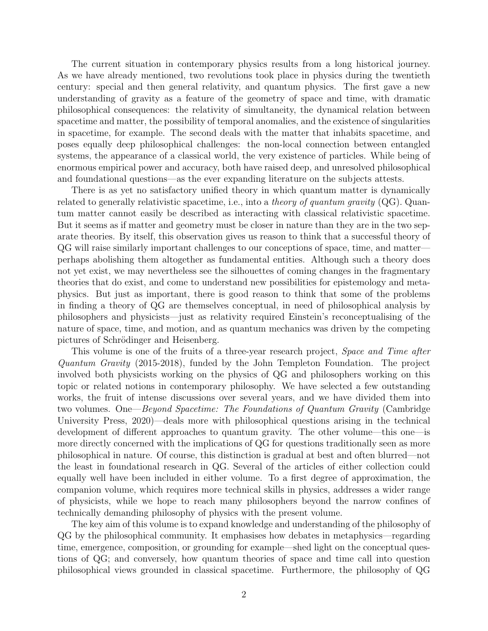The current situation in contemporary physics results from a long historical journey. As we have already mentioned, two revolutions took place in physics during the twentieth century: special and then general relativity, and quantum physics. The first gave a new understanding of gravity as a feature of the geometry of space and time, with dramatic philosophical consequences: the relativity of simultaneity, the dynamical relation between spacetime and matter, the possibility of temporal anomalies, and the existence of singularities in spacetime, for example. The second deals with the matter that inhabits spacetime, and poses equally deep philosophical challenges: the non-local connection between entangled systems, the appearance of a classical world, the very existence of particles. While being of enormous empirical power and accuracy, both have raised deep, and unresolved philosophical and foundational questions—as the ever expanding literature on the subjects attests.

There is as yet no satisfactory unified theory in which quantum matter is dynamically related to generally relativistic spacetime, i.e., into a *theory of quantum gravity*  $(QG)$ . Quantum matter cannot easily be described as interacting with classical relativistic spacetime. But it seems as if matter and geometry must be closer in nature than they are in the two separate theories. By itself, this observation gives us reason to think that a successful theory of QG will raise similarly important challenges to our conceptions of space, time, and matter perhaps abolishing them altogether as fundamental entities. Although such a theory does not yet exist, we may nevertheless see the silhouettes of coming changes in the fragmentary theories that do exist, and come to understand new possibilities for epistemology and metaphysics. But just as important, there is good reason to think that some of the problems in finding a theory of QG are themselves conceptual, in need of philosophical analysis by philosophers and physicists—just as relativity required Einstein's reconceptualising of the nature of space, time, and motion, and as quantum mechanics was driven by the competing pictures of Schrödinger and Heisenberg.

This volume is one of the fruits of a three-year research project, *Space and Time after* Quantum Gravity (2015-2018), funded by the John Templeton Foundation. The project involved both physicists working on the physics of QG and philosophers working on this topic or related notions in contemporary philosophy. We have selected a few outstanding works, the fruit of intense discussions over several years, and we have divided them into two volumes. One—Beyond Spacetime: The Foundations of Quantum Gravity (Cambridge University Press, 2020)—deals more with philosophical questions arising in the technical development of different approaches to quantum gravity. The other volume—this one—is more directly concerned with the implications of QG for questions traditionally seen as more philosophical in nature. Of course, this distinction is gradual at best and often blurred—not the least in foundational research in QG. Several of the articles of either collection could equally well have been included in either volume. To a first degree of approximation, the companion volume, which requires more technical skills in physics, addresses a wider range of physicists, while we hope to reach many philosophers beyond the narrow confines of technically demanding philosophy of physics with the present volume.

The key aim of this volume is to expand knowledge and understanding of the philosophy of QG by the philosophical community. It emphasises how debates in metaphysics—regarding time, emergence, composition, or grounding for example—shed light on the conceptual questions of QG; and conversely, how quantum theories of space and time call into question philosophical views grounded in classical spacetime. Furthermore, the philosophy of QG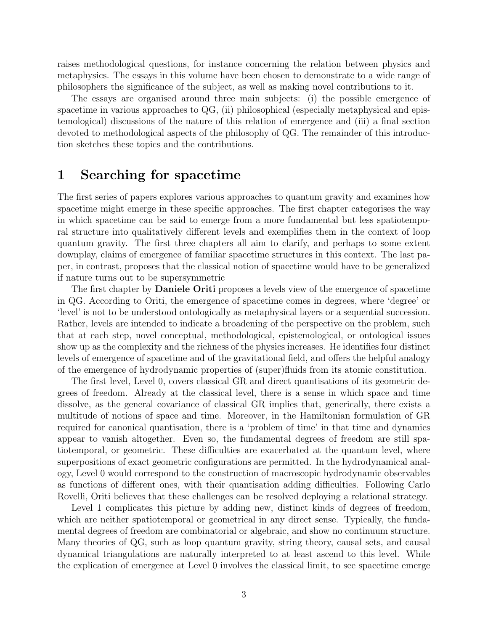raises methodological questions, for instance concerning the relation between physics and metaphysics. The essays in this volume have been chosen to demonstrate to a wide range of philosophers the significance of the subject, as well as making novel contributions to it.

The essays are organised around three main subjects: (i) the possible emergence of spacetime in various approaches to QG, (ii) philosophical (especially metaphysical and epistemological) discussions of the nature of this relation of emergence and (iii) a final section devoted to methodological aspects of the philosophy of QG. The remainder of this introduction sketches these topics and the contributions.

#### 1 Searching for spacetime

The first series of papers explores various approaches to quantum gravity and examines how spacetime might emerge in these specific approaches. The first chapter categorises the way in which spacetime can be said to emerge from a more fundamental but less spatiotemporal structure into qualitatively different levels and exemplifies them in the context of loop quantum gravity. The first three chapters all aim to clarify, and perhaps to some extent downplay, claims of emergence of familiar spacetime structures in this context. The last paper, in contrast, proposes that the classical notion of spacetime would have to be generalized if nature turns out to be supersymmetric

The first chapter by **Daniele Oriti** proposes a levels view of the emergence of spacetime in QG. According to Oriti, the emergence of spacetime comes in degrees, where 'degree' or 'level' is not to be understood ontologically as metaphysical layers or a sequential succession. Rather, levels are intended to indicate a broadening of the perspective on the problem, such that at each step, novel conceptual, methodological, epistemological, or ontological issues show up as the complexity and the richness of the physics increases. He identifies four distinct levels of emergence of spacetime and of the gravitational field, and offers the helpful analogy of the emergence of hydrodynamic properties of (super)fluids from its atomic constitution.

The first level, Level 0, covers classical GR and direct quantisations of its geometric degrees of freedom. Already at the classical level, there is a sense in which space and time dissolve, as the general covariance of classical GR implies that, generically, there exists a multitude of notions of space and time. Moreover, in the Hamiltonian formulation of GR required for canonical quantisation, there is a 'problem of time' in that time and dynamics appear to vanish altogether. Even so, the fundamental degrees of freedom are still spatiotemporal, or geometric. These difficulties are exacerbated at the quantum level, where superpositions of exact geometric configurations are permitted. In the hydrodynamical analogy, Level 0 would correspond to the construction of macroscopic hydrodynamic observables as functions of different ones, with their quantisation adding difficulties. Following Carlo Rovelli, Oriti believes that these challenges can be resolved deploying a relational strategy.

Level 1 complicates this picture by adding new, distinct kinds of degrees of freedom, which are neither spatiotemporal or geometrical in any direct sense. Typically, the fundamental degrees of freedom are combinatorial or algebraic, and show no continuum structure. Many theories of QG, such as loop quantum gravity, string theory, causal sets, and causal dynamical triangulations are naturally interpreted to at least ascend to this level. While the explication of emergence at Level 0 involves the classical limit, to see spacetime emerge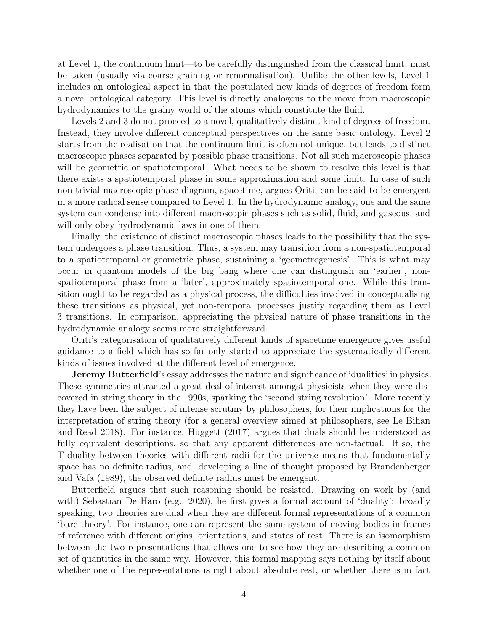at Level 1, the continuum limit—to be carefully distinguished from the classical limit, must be taken (usually via coarse graining or renormalisation). Unlike the other levels, Level 1 includes an ontological aspect in that the postulated new kinds of degrees of freedom form a novel ontological category. This level is directly analogous to the move from macroscopic hydrodynamics to the grainy world of the atoms which constitute the fluid.

Levels 2 and 3 do not proceed to a novel, qualitatively distinct kind of degrees of freedom. Instead, they involve different conceptual perspectives on the same basic ontology. Level 2 starts from the realisation that the continuum limit is often not unique, but leads to distinct macroscopic phases separated by possible phase transitions. Not all such macroscopic phases will be geometric or spatiotemporal. What needs to be shown to resolve this level is that there exists a spatiotemporal phase in some approximation and some limit. In case of such non-trivial macroscopic phase diagram, spacetime, argues Oriti, can be said to be emergent in a more radical sense compared to Level 1. In the hydrodynamic analogy, one and the same system can condense into different macroscopic phases such as solid, fluid, and gaseous, and will only obey hydrodynamic laws in one of them.

Finally, the existence of distinct macroscopic phases leads to the possibility that the system undergoes a phase transition. Thus, a system may transition from a non-spatiotemporal to a spatiotemporal or geometric phase, sustaining a 'geometrogenesis'. This is what may occur in quantum models of the big bang where one can distinguish an 'earlier', nonspatiotemporal phase from a 'later', approximately spatiotemporal one. While this transition ought to be regarded as a physical process, the difficulties involved in conceptualising these transitions as physical, yet non-temporal processes justify regarding them as Level 3 transitions. In comparison, appreciating the physical nature of phase transitions in the hydrodynamic analogy seems more straightforward.

Oriti's categorisation of qualitatively different kinds of spacetime emergence gives useful guidance to a field which has so far only started to appreciate the systematically different kinds of issues involved at the different level of emergence.

Jeremy Butterfield's essay addresses the nature and significance of 'dualities' in physics. These symmetries attracted a great deal of interest amongst physicists when they were discovered in string theory in the 1990s, sparking the 'second string revolution'. More recently they have been the subject of intense scrutiny by philosophers, for their implications for the interpretation of string theory (for a general overview aimed at philosophers, see Le Bihan and Read 2018). For instance, Huggett (2017) argues that duals should be understood as fully equivalent descriptions, so that any apparent differences are non-factual. If so, the T-duality between theories with different radii for the universe means that fundamentally space has no definite radius, and, developing a line of thought proposed by Brandenberger and Vafa (1989), the observed definite radius must be emergent.

Butterfield argues that such reasoning should be resisted. Drawing on work by (and with) Sebastian De Haro (e.g., 2020), he first gives a formal account of 'duality': broadly speaking, two theories are dual when they are different formal representations of a common 'bare theory'. For instance, one can represent the same system of moving bodies in frames of reference with different origins, orientations, and states of rest. There is an isomorphism between the two representations that allows one to see how they are describing a common set of quantities in the same way. However, this formal mapping says nothing by itself about whether one of the representations is right about absolute rest, or whether there is in fact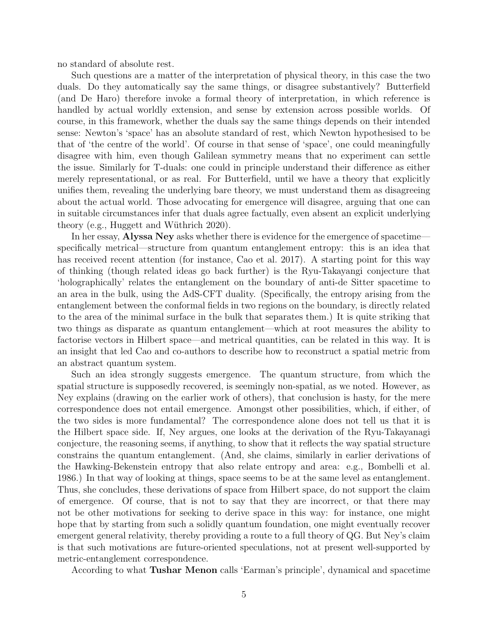no standard of absolute rest.

Such questions are a matter of the interpretation of physical theory, in this case the two duals. Do they automatically say the same things, or disagree substantively? Butterfield (and De Haro) therefore invoke a formal theory of interpretation, in which reference is handled by actual worldly extension, and sense by extension across possible worlds. Of course, in this framework, whether the duals say the same things depends on their intended sense: Newton's 'space' has an absolute standard of rest, which Newton hypothesised to be that of 'the centre of the world'. Of course in that sense of 'space', one could meaningfully disagree with him, even though Galilean symmetry means that no experiment can settle the issue. Similarly for T-duals: one could in principle understand their difference as either merely representational, or as real. For Butterfield, until we have a theory that explicitly unifies them, revealing the underlying bare theory, we must understand them as disagreeing about the actual world. Those advocating for emergence will disagree, arguing that one can in suitable circumstances infer that duals agree factually, even absent an explicit underlying theory (e.g., Huggett and Wüthrich 2020).

In her essay, Alyssa Ney asks whether there is evidence for the emergence of spacetime specifically metrical—structure from quantum entanglement entropy: this is an idea that has received recent attention (for instance, Cao et al. 2017). A starting point for this way of thinking (though related ideas go back further) is the Ryu-Takayangi conjecture that 'holographically' relates the entanglement on the boundary of anti-de Sitter spacetime to an area in the bulk, using the AdS-CFT duality. (Specifically, the entropy arising from the entanglement between the conformal fields in two regions on the boundary, is directly related to the area of the minimal surface in the bulk that separates them.) It is quite striking that two things as disparate as quantum entanglement—which at root measures the ability to factorise vectors in Hilbert space—and metrical quantities, can be related in this way. It is an insight that led Cao and co-authors to describe how to reconstruct a spatial metric from an abstract quantum system.

Such an idea strongly suggests emergence. The quantum structure, from which the spatial structure is supposedly recovered, is seemingly non-spatial, as we noted. However, as Ney explains (drawing on the earlier work of others), that conclusion is hasty, for the mere correspondence does not entail emergence. Amongst other possibilities, which, if either, of the two sides is more fundamental? The correspondence alone does not tell us that it is the Hilbert space side. If, Ney argues, one looks at the derivation of the Ryu-Takayanagi conjecture, the reasoning seems, if anything, to show that it reflects the way spatial structure constrains the quantum entanglement. (And, she claims, similarly in earlier derivations of the Hawking-Bekenstein entropy that also relate entropy and area: e.g., Bombelli et al. 1986.) In that way of looking at things, space seems to be at the same level as entanglement. Thus, she concludes, these derivations of space from Hilbert space, do not support the claim of emergence. Of course, that is not to say that they are incorrect, or that there may not be other motivations for seeking to derive space in this way: for instance, one might hope that by starting from such a solidly quantum foundation, one might eventually recover emergent general relativity, thereby providing a route to a full theory of QG. But Ney's claim is that such motivations are future-oriented speculations, not at present well-supported by metric-entanglement correspondence.

According to what Tushar Menon calls 'Earman's principle', dynamical and spacetime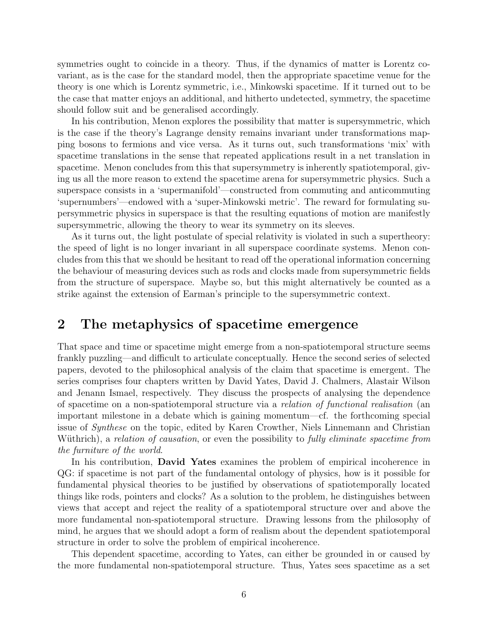symmetries ought to coincide in a theory. Thus, if the dynamics of matter is Lorentz covariant, as is the case for the standard model, then the appropriate spacetime venue for the theory is one which is Lorentz symmetric, i.e., Minkowski spacetime. If it turned out to be the case that matter enjoys an additional, and hitherto undetected, symmetry, the spacetime should follow suit and be generalised accordingly.

In his contribution, Menon explores the possibility that matter is supersymmetric, which is the case if the theory's Lagrange density remains invariant under transformations mapping bosons to fermions and vice versa. As it turns out, such transformations 'mix' with spacetime translations in the sense that repeated applications result in a net translation in spacetime. Menon concludes from this that supersymmetry is inherently spatiotemporal, giving us all the more reason to extend the spacetime arena for supersymmetric physics. Such a superspace consists in a 'supermanifold'—constructed from commuting and anticommuting 'supernumbers'—endowed with a 'super-Minkowski metric'. The reward for formulating supersymmetric physics in superspace is that the resulting equations of motion are manifestly supersymmetric, allowing the theory to wear its symmetry on its sleeves.

As it turns out, the light postulate of special relativity is violated in such a supertheory: the speed of light is no longer invariant in all superspace coordinate systems. Menon concludes from this that we should be hesitant to read off the operational information concerning the behaviour of measuring devices such as rods and clocks made from supersymmetric fields from the structure of superspace. Maybe so, but this might alternatively be counted as a strike against the extension of Earman's principle to the supersymmetric context.

#### 2 The metaphysics of spacetime emergence

That space and time or spacetime might emerge from a non-spatiotemporal structure seems frankly puzzling—and difficult to articulate conceptually. Hence the second series of selected papers, devoted to the philosophical analysis of the claim that spacetime is emergent. The series comprises four chapters written by David Yates, David J. Chalmers, Alastair Wilson and Jenann Ismael, respectively. They discuss the prospects of analysing the dependence of spacetime on a non-spatiotemporal structure via a relation of functional realisation (an important milestone in a debate which is gaining momentum—cf. the forthcoming special issue of Synthese on the topic, edited by Karen Crowther, Niels Linnemann and Christian Wüthrich), a relation of causation, or even the possibility to fully eliminate spacetime from the furniture of the world.

In his contribution, **David Yates** examines the problem of empirical incoherence in QG: if spacetime is not part of the fundamental ontology of physics, how is it possible for fundamental physical theories to be justified by observations of spatiotemporally located things like rods, pointers and clocks? As a solution to the problem, he distinguishes between views that accept and reject the reality of a spatiotemporal structure over and above the more fundamental non-spatiotemporal structure. Drawing lessons from the philosophy of mind, he argues that we should adopt a form of realism about the dependent spatiotemporal structure in order to solve the problem of empirical incoherence.

This dependent spacetime, according to Yates, can either be grounded in or caused by the more fundamental non-spatiotemporal structure. Thus, Yates sees spacetime as a set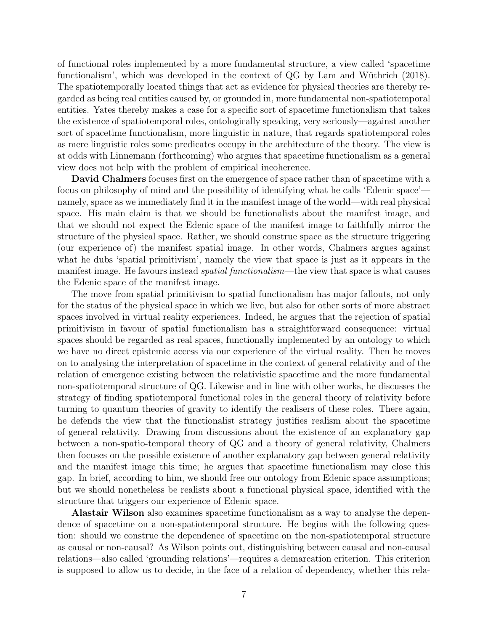of functional roles implemented by a more fundamental structure, a view called 'spacetime functionalism', which was developed in the context of QG by Lam and Wüthrich (2018). The spatiotemporally located things that act as evidence for physical theories are thereby regarded as being real entities caused by, or grounded in, more fundamental non-spatiotemporal entities. Yates thereby makes a case for a specific sort of spacetime functionalism that takes the existence of spatiotemporal roles, ontologically speaking, very seriously—against another sort of spacetime functionalism, more linguistic in nature, that regards spatiotemporal roles as mere linguistic roles some predicates occupy in the architecture of the theory. The view is at odds with Linnemann (forthcoming) who argues that spacetime functionalism as a general view does not help with the problem of empirical incoherence.

David Chalmers focuses first on the emergence of space rather than of spacetime with a focus on philosophy of mind and the possibility of identifying what he calls 'Edenic space' namely, space as we immediately find it in the manifest image of the world—with real physical space. His main claim is that we should be functionalists about the manifest image, and that we should not expect the Edenic space of the manifest image to faithfully mirror the structure of the physical space. Rather, we should construe space as the structure triggering (our experience of) the manifest spatial image. In other words, Chalmers argues against what he dubs 'spatial primitivism', namely the view that space is just as it appears in the manifest image. He favours instead *spatial functionalism*—the view that space is what causes the Edenic space of the manifest image.

The move from spatial primitivism to spatial functionalism has major fallouts, not only for the status of the physical space in which we live, but also for other sorts of more abstract spaces involved in virtual reality experiences. Indeed, he argues that the rejection of spatial primitivism in favour of spatial functionalism has a straightforward consequence: virtual spaces should be regarded as real spaces, functionally implemented by an ontology to which we have no direct epistemic access via our experience of the virtual reality. Then he moves on to analysing the interpretation of spacetime in the context of general relativity and of the relation of emergence existing between the relativistic spacetime and the more fundamental non-spatiotemporal structure of QG. Likewise and in line with other works, he discusses the strategy of finding spatiotemporal functional roles in the general theory of relativity before turning to quantum theories of gravity to identify the realisers of these roles. There again, he defends the view that the functionalist strategy justifies realism about the spacetime of general relativity. Drawing from discussions about the existence of an explanatory gap between a non-spatio-temporal theory of QG and a theory of general relativity, Chalmers then focuses on the possible existence of another explanatory gap between general relativity and the manifest image this time; he argues that spacetime functionalism may close this gap. In brief, according to him, we should free our ontology from Edenic space assumptions; but we should nonetheless be realists about a functional physical space, identified with the structure that triggers our experience of Edenic space.

Alastair Wilson also examines spacetime functionalism as a way to analyse the dependence of spacetime on a non-spatiotemporal structure. He begins with the following question: should we construe the dependence of spacetime on the non-spatiotemporal structure as causal or non-causal? As Wilson points out, distinguishing between causal and non-causal relations—also called 'grounding relations'—requires a demarcation criterion. This criterion is supposed to allow us to decide, in the face of a relation of dependency, whether this rela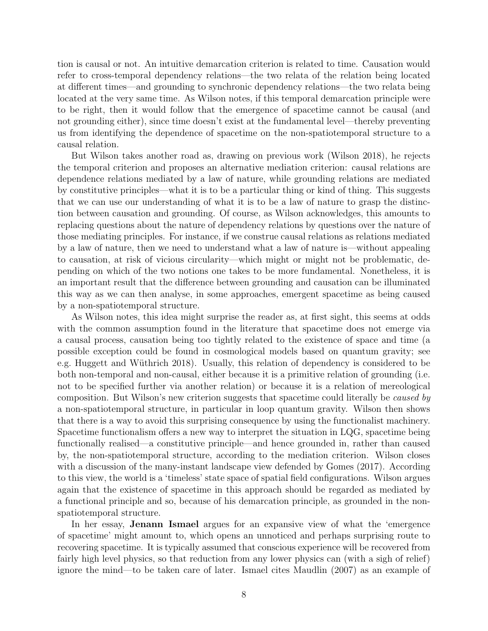tion is causal or not. An intuitive demarcation criterion is related to time. Causation would refer to cross-temporal dependency relations—the two relata of the relation being located at different times—and grounding to synchronic dependency relations—the two relata being located at the very same time. As Wilson notes, if this temporal demarcation principle were to be right, then it would follow that the emergence of spacetime cannot be causal (and not grounding either), since time doesn't exist at the fundamental level—thereby preventing us from identifying the dependence of spacetime on the non-spatiotemporal structure to a causal relation.

But Wilson takes another road as, drawing on previous work (Wilson 2018), he rejects the temporal criterion and proposes an alternative mediation criterion: causal relations are dependence relations mediated by a law of nature, while grounding relations are mediated by constitutive principles—what it is to be a particular thing or kind of thing. This suggests that we can use our understanding of what it is to be a law of nature to grasp the distinction between causation and grounding. Of course, as Wilson acknowledges, this amounts to replacing questions about the nature of dependency relations by questions over the nature of those mediating principles. For instance, if we construe causal relations as relations mediated by a law of nature, then we need to understand what a law of nature is—without appealing to causation, at risk of vicious circularity—which might or might not be problematic, depending on which of the two notions one takes to be more fundamental. Nonetheless, it is an important result that the difference between grounding and causation can be illuminated this way as we can then analyse, in some approaches, emergent spacetime as being caused by a non-spatiotemporal structure.

As Wilson notes, this idea might surprise the reader as, at first sight, this seems at odds with the common assumption found in the literature that spacetime does not emerge via a causal process, causation being too tightly related to the existence of space and time (a possible exception could be found in cosmological models based on quantum gravity; see e.g. Huggett and Wüthrich 2018). Usually, this relation of dependency is considered to be both non-temporal and non-causal, either because it is a primitive relation of grounding (i.e. not to be specified further via another relation) or because it is a relation of mereological composition. But Wilson's new criterion suggests that spacetime could literally be caused by a non-spatiotemporal structure, in particular in loop quantum gravity. Wilson then shows that there is a way to avoid this surprising consequence by using the functionalist machinery. Spacetime functionalism offers a new way to interpret the situation in LQG, spacetime being functionally realised—a constitutive principle—and hence grounded in, rather than caused by, the non-spatiotemporal structure, according to the mediation criterion. Wilson closes with a discussion of the many-instant landscape view defended by Gomes (2017). According to this view, the world is a 'timeless' state space of spatial field configurations. Wilson argues again that the existence of spacetime in this approach should be regarded as mediated by a functional principle and so, because of his demarcation principle, as grounded in the nonspatiotemporal structure.

In her essay, Jenann Ismael argues for an expansive view of what the 'emergence of spacetime' might amount to, which opens an unnoticed and perhaps surprising route to recovering spacetime. It is typically assumed that conscious experience will be recovered from fairly high level physics, so that reduction from any lower physics can (with a sigh of relief) ignore the mind—to be taken care of later. Ismael cites Maudlin (2007) as an example of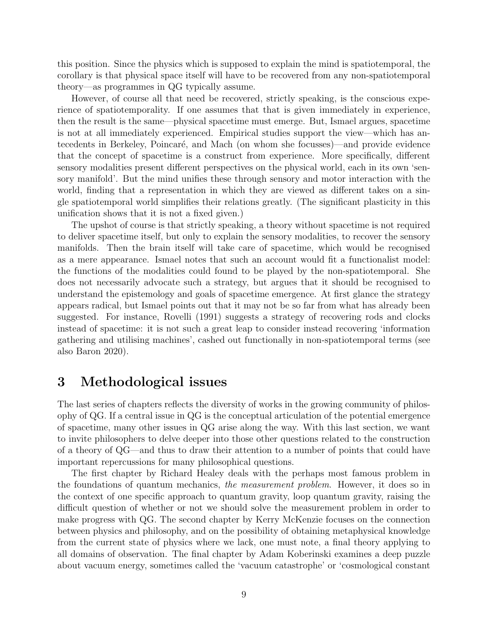this position. Since the physics which is supposed to explain the mind is spatiotemporal, the corollary is that physical space itself will have to be recovered from any non-spatiotemporal theory—as programmes in QG typically assume.

However, of course all that need be recovered, strictly speaking, is the conscious experience of spatiotemporality. If one assumes that that is given immediately in experience, then the result is the same—physical spacetime must emerge. But, Ismael argues, spacetime is not at all immediately experienced. Empirical studies support the view—which has antecedents in Berkeley, Poincaré, and Mach (on whom she focusses)—and provide evidence that the concept of spacetime is a construct from experience. More specifically, different sensory modalities present different perspectives on the physical world, each in its own 'sensory manifold'. But the mind unifies these through sensory and motor interaction with the world, finding that a representation in which they are viewed as different takes on a single spatiotemporal world simplifies their relations greatly. (The significant plasticity in this unification shows that it is not a fixed given.)

The upshot of course is that strictly speaking, a theory without spacetime is not required to deliver spacetime itself, but only to explain the sensory modalities, to recover the sensory manifolds. Then the brain itself will take care of spacetime, which would be recognised as a mere appearance. Ismael notes that such an account would fit a functionalist model: the functions of the modalities could found to be played by the non-spatiotemporal. She does not necessarily advocate such a strategy, but argues that it should be recognised to understand the epistemology and goals of spacetime emergence. At first glance the strategy appears radical, but Ismael points out that it may not be so far from what has already been suggested. For instance, Rovelli (1991) suggests a strategy of recovering rods and clocks instead of spacetime: it is not such a great leap to consider instead recovering 'information gathering and utilising machines', cashed out functionally in non-spatiotemporal terms (see also Baron 2020).

#### 3 Methodological issues

The last series of chapters reflects the diversity of works in the growing community of philosophy of QG. If a central issue in QG is the conceptual articulation of the potential emergence of spacetime, many other issues in QG arise along the way. With this last section, we want to invite philosophers to delve deeper into those other questions related to the construction of a theory of QG—and thus to draw their attention to a number of points that could have important repercussions for many philosophical questions.

The first chapter by Richard Healey deals with the perhaps most famous problem in the foundations of quantum mechanics, the measurement problem. However, it does so in the context of one specific approach to quantum gravity, loop quantum gravity, raising the difficult question of whether or not we should solve the measurement problem in order to make progress with QG. The second chapter by Kerry McKenzie focuses on the connection between physics and philosophy, and on the possibility of obtaining metaphysical knowledge from the current state of physics where we lack, one must note, a final theory applying to all domains of observation. The final chapter by Adam Koberinski examines a deep puzzle about vacuum energy, sometimes called the 'vacuum catastrophe' or 'cosmological constant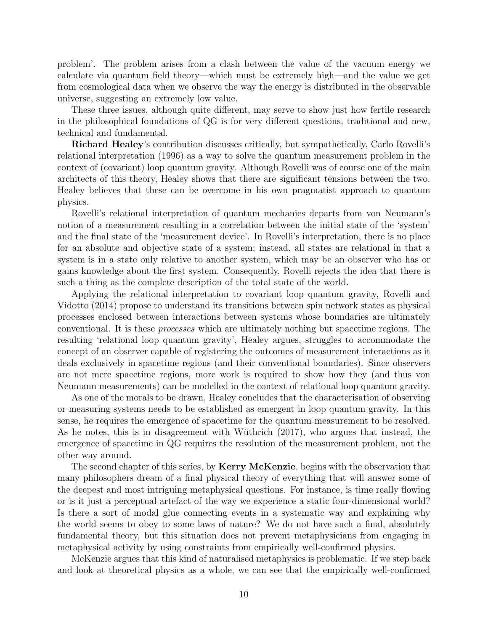problem'. The problem arises from a clash between the value of the vacuum energy we calculate via quantum field theory—which must be extremely high—and the value we get from cosmological data when we observe the way the energy is distributed in the observable universe, suggesting an extremely low value.

These three issues, although quite different, may serve to show just how fertile research in the philosophical foundations of QG is for very different questions, traditional and new, technical and fundamental.

Richard Healey's contribution discusses critically, but sympathetically, Carlo Rovelli's relational interpretation (1996) as a way to solve the quantum measurement problem in the context of (covariant) loop quantum gravity. Although Rovelli was of course one of the main architects of this theory, Healey shows that there are significant tensions between the two. Healey believes that these can be overcome in his own pragmatist approach to quantum physics.

Rovelli's relational interpretation of quantum mechanics departs from von Neumann's notion of a measurement resulting in a correlation between the initial state of the 'system' and the final state of the 'measurement device'. In Rovelli's interpretation, there is no place for an absolute and objective state of a system; instead, all states are relational in that a system is in a state only relative to another system, which may be an observer who has or gains knowledge about the first system. Consequently, Rovelli rejects the idea that there is such a thing as the complete description of the total state of the world.

Applying the relational interpretation to covariant loop quantum gravity, Rovelli and Vidotto (2014) propose to understand its transitions between spin network states as physical processes enclosed between interactions between systems whose boundaries are ultimately conventional. It is these processes which are ultimately nothing but spacetime regions. The resulting 'relational loop quantum gravity', Healey argues, struggles to accommodate the concept of an observer capable of registering the outcomes of measurement interactions as it deals exclusively in spacetime regions (and their conventional boundaries). Since observers are not mere spacetime regions, more work is required to show how they (and thus von Neumann measurements) can be modelled in the context of relational loop quantum gravity.

As one of the morals to be drawn, Healey concludes that the characterisation of observing or measuring systems needs to be established as emergent in loop quantum gravity. In this sense, he requires the emergence of spacetime for the quantum measurement to be resolved. As he notes, this is in disagreement with Wüthrich (2017), who argues that instead, the emergence of spacetime in QG requires the resolution of the measurement problem, not the other way around.

The second chapter of this series, by **Kerry McKenzie**, begins with the observation that many philosophers dream of a final physical theory of everything that will answer some of the deepest and most intriguing metaphysical questions. For instance, is time really flowing or is it just a perceptual artefact of the way we experience a static four-dimensional world? Is there a sort of modal glue connecting events in a systematic way and explaining why the world seems to obey to some laws of nature? We do not have such a final, absolutely fundamental theory, but this situation does not prevent metaphysicians from engaging in metaphysical activity by using constraints from empirically well-confirmed physics.

McKenzie argues that this kind of naturalised metaphysics is problematic. If we step back and look at theoretical physics as a whole, we can see that the empirically well-confirmed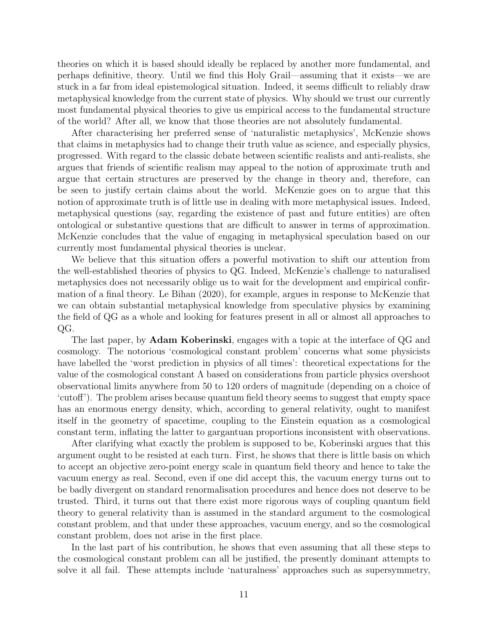theories on which it is based should ideally be replaced by another more fundamental, and perhaps definitive, theory. Until we find this Holy Grail—assuming that it exists—we are stuck in a far from ideal epistemological situation. Indeed, it seems difficult to reliably draw metaphysical knowledge from the current state of physics. Why should we trust our currently most fundamental physical theories to give us empirical access to the fundamental structure of the world? After all, we know that those theories are not absolutely fundamental.

After characterising her preferred sense of 'naturalistic metaphysics', McKenzie shows that claims in metaphysics had to change their truth value as science, and especially physics, progressed. With regard to the classic debate between scientific realists and anti-realists, she argues that friends of scientific realism may appeal to the notion of approximate truth and argue that certain structures are preserved by the change in theory and, therefore, can be seen to justify certain claims about the world. McKenzie goes on to argue that this notion of approximate truth is of little use in dealing with more metaphysical issues. Indeed, metaphysical questions (say, regarding the existence of past and future entities) are often ontological or substantive questions that are difficult to answer in terms of approximation. McKenzie concludes that the value of engaging in metaphysical speculation based on our currently most fundamental physical theories is unclear.

We believe that this situation offers a powerful motivation to shift our attention from the well-established theories of physics to QG. Indeed, McKenzie's challenge to naturalised metaphysics does not necessarily oblige us to wait for the development and empirical confirmation of a final theory. Le Bihan (2020), for example, argues in response to McKenzie that we can obtain substantial metaphysical knowledge from speculative physics by examining the field of QG as a whole and looking for features present in all or almost all approaches to QG.

The last paper, by **Adam Koberinski**, engages with a topic at the interface of QG and cosmology. The notorious 'cosmological constant problem' concerns what some physicists have labelled the 'worst prediction in physics of all times': theoretical expectations for the value of the cosmological constant  $\Lambda$  based on considerations from particle physics overshoot observational limits anywhere from 50 to 120 orders of magnitude (depending on a choice of 'cutoff'). The problem arises because quantum field theory seems to suggest that empty space has an enormous energy density, which, according to general relativity, ought to manifest itself in the geometry of spacetime, coupling to the Einstein equation as a cosmological constant term, inflating the latter to gargantuan proportions inconsistent with observations.

After clarifying what exactly the problem is supposed to be, Koberinski argues that this argument ought to be resisted at each turn. First, he shows that there is little basis on which to accept an objective zero-point energy scale in quantum field theory and hence to take the vacuum energy as real. Second, even if one did accept this, the vacuum energy turns out to be badly divergent on standard renormalisation procedures and hence does not deserve to be trusted. Third, it turns out that there exist more rigorous ways of coupling quantum field theory to general relativity than is assumed in the standard argument to the cosmological constant problem, and that under these approaches, vacuum energy, and so the cosmological constant problem, does not arise in the first place.

In the last part of his contribution, he shows that even assuming that all these steps to the cosmological constant problem can all be justified, the presently dominant attempts to solve it all fail. These attempts include 'naturalness' approaches such as supersymmetry,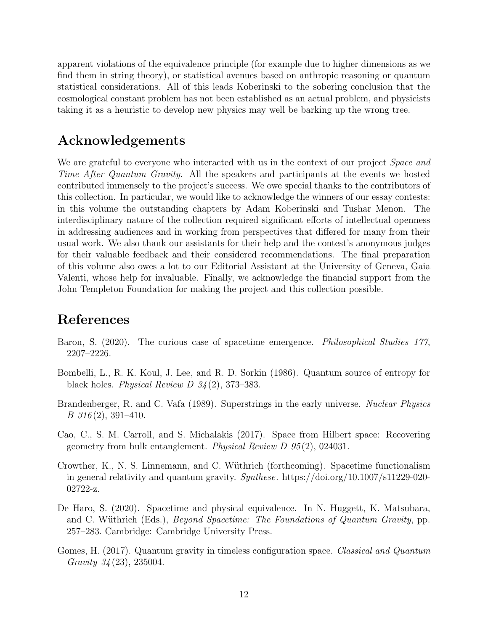apparent violations of the equivalence principle (for example due to higher dimensions as we find them in string theory), or statistical avenues based on anthropic reasoning or quantum statistical considerations. All of this leads Koberinski to the sobering conclusion that the cosmological constant problem has not been established as an actual problem, and physicists taking it as a heuristic to develop new physics may well be barking up the wrong tree.

## Acknowledgements

We are grateful to everyone who interacted with us in the context of our project *Space and* Time After Quantum Gravity. All the speakers and participants at the events we hosted contributed immensely to the project's success. We owe special thanks to the contributors of this collection. In particular, we would like to acknowledge the winners of our essay contests: in this volume the outstanding chapters by Adam Koberinski and Tushar Menon. The interdisciplinary nature of the collection required significant efforts of intellectual openness in addressing audiences and in working from perspectives that differed for many from their usual work. We also thank our assistants for their help and the contest's anonymous judges for their valuable feedback and their considered recommendations. The final preparation of this volume also owes a lot to our Editorial Assistant at the University of Geneva, Gaia Valenti, whose help for invaluable. Finally, we acknowledge the financial support from the John Templeton Foundation for making the project and this collection possible.

## References

- Baron, S. (2020). The curious case of spacetime emergence. Philosophical Studies 177, 2207–2226.
- Bombelli, L., R. K. Koul, J. Lee, and R. D. Sorkin (1986). Quantum source of entropy for black holes. *Physical Review D*  $34(2)$ , 373–383.
- Brandenberger, R. and C. Vafa (1989). Superstrings in the early universe. Nuclear Physics  $B\,316(2),\,391-410.$
- Cao, C., S. M. Carroll, and S. Michalakis (2017). Space from Hilbert space: Recovering geometry from bulk entanglement. Physical Review D 95 (2), 024031.
- Crowther, K., N. S. Linnemann, and C. W¨uthrich (forthcoming). Spacetime functionalism in general relativity and quantum gravity. Synthese. https://doi.org/10.1007/s11229-020- 02722-z.
- De Haro, S. (2020). Spacetime and physical equivalence. In N. Huggett, K. Matsubara, and C. Wüthrich (Eds.), *Beyond Spacetime: The Foundations of Quantum Gravity*, pp. 257–283. Cambridge: Cambridge University Press.
- Gomes, H. (2017). Quantum gravity in timeless configuration space. Classical and Quantum Gravity 34 (23), 235004.